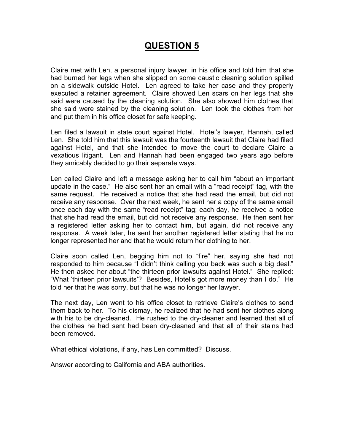# **QUESTION 5**

Claire met with Len, a personal injury lawyer, in his office and told him that she had burned her legs when she slipped on some caustic cleaning solution spilled on a sidewalk outside Hotel. Len agreed to take her case and they properly executed a retainer agreement. Claire showed Len scars on her legs that she said were caused by the cleaning solution. She also showed him clothes that she said were stained by the cleaning solution. Len took the clothes from her and put them in his office closet for safe keeping.

Len filed a lawsuit in state court against Hotel. Hotel's lawyer, Hannah, called Len. She told him that this lawsuit was the fourteenth lawsuit that Claire had filed against Hotel, and that she intended to move the court to declare Claire a vexatious litigant. Len and Hannah had been engaged two years ago before they amicably decided to go their separate ways.

Len called Claire and left a message asking her to call him "about an important update in the case." He also sent her an email with a "read receipt" tag, with the same request. He received a notice that she had read the email, but did not receive any response. Over the next week, he sent her a copy of the same email once each day with the same "read receipt" tag; each day, he received a notice that she had read the email, but did not receive any response. He then sent her a registered letter asking her to contact him, but again, did not receive any response. A week later, he sent her another registered letter stating that he no longer represented her and that he would return her clothing to her.

Claire soon called Len, begging him not to "fire" her, saying she had not responded to him because "I didn't think calling you back was such a big deal." He then asked her about "the thirteen prior lawsuits against Hotel." She replied: "What 'thirteen prior lawsuits'? Besides, Hotel's got more money than I do." He told her that he was sorry, but that he was no longer her lawyer.

The next day, Len went to his office closet to retrieve Claire's clothes to send them back to her. To his dismay, he realized that he had sent her clothes along with his to be dry-cleaned. He rushed to the dry-cleaner and learned that all of the clothes he had sent had been dry-cleaned and that all of their stains had been removed.

What ethical violations, if any, has Len committed? Discuss.

Answer according to California and ABA authorities.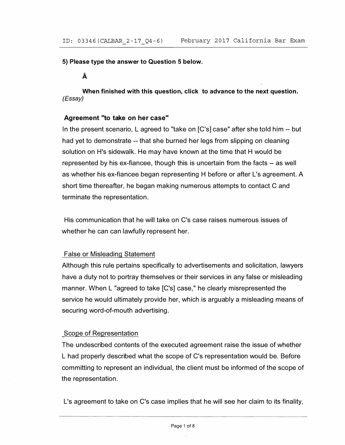**5) Please type the answer to Question 5 below.** 

**A** 

**When finished with this question, click to advance to the next question.**  *(Essay)* 

# **Agreement "to take on her case"**

In the present scenario, L agreed to "take on [C's] case" after she told him -- but had yet to demonstrate -- that she burned her legs from slipping on cleaning solution on H's sidewalk. He may have known at the time that H would be represented by his ex-fiancee, though this is uncertain from the facts -- as well as whether his ex-fiancee began representing H before or after L's agreement. A short time thereafter, he began making numerous attempts to contact C and terminate the representation.

His communication that he will take on C's case raises numerous issues of whether he can can lawfully represent her.

# False or Misleading Statement

Although this rule pertains specifically to advertisements and solicitation, lawyers have a duty not to portray themselves or their services in any false or misleading manner. When L "agreed to take [C's] case," he clearly misrepresented the service he would ultimately provide her, which is arguably a misleading means of securing word-of-mouth advertising.

# Scope of Representation

The undescribed contents of the executed agreement raise the issue of whether L had properly described what the scope of C's representation would be. Before committing to represent an individual, the client must be informed of the scope of the representation.

L's agreement to take on C's case implies that he will see her claim to its finality,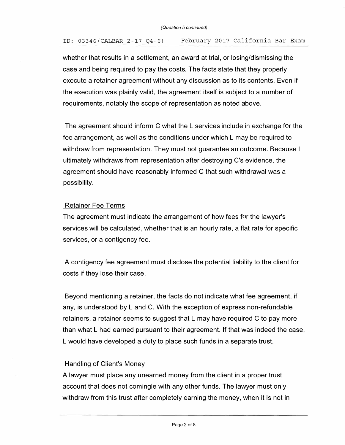# ID: 03346(CALBAR\_2-17\_Q4 -6) February 2017 California Bar Exam

whether that results in a settlement, an award at trial, or losing/dismissing the case and being required to pay the costs. The facts state that they properly execute a retainer agreement without any discussion as to its contents. Even if the execution was plainly valid, the agreement itself is subject to a number of requirements, notably the scope of representation as noted above.

The agreement should inform C what the L services include in exchange for the fee arrangement, as well as the conditions under which L may be required to withdraw from representation. They must not guarantee an outcome. Because L ultimately withdraws from representation after destroying C 's evidence, the agreement should have reasonably informed C that such withdrawal was a possibility.

#### Retainer Fee Terms

The agreement must indicate the arrangement of how fees for the lawyer's services will be calculated, whether that is an hourly rate, a flat rate for specific services, or a contigency fee.

A contigency fee agreement must disclose the potential liability to the client for costs if they lose their case.

Beyond mentioning a retainer, the facts do not indicate what fee agreement, if any, is understood by L and C. With the exception of express non-refundable retainers, a retainer seems to suggest that L may have required C to pay more than what L had earned pursuant to their agreement. If that was indeed the case, L would have developed a duty to place such funds in a separate trust.

# Handling of Client's Money

A lawyer must place any unearned money from the client in a proper trust account that does not comingle with any other funds. The lawyer must only withdraw from this trust after completely earning the money, when it is not in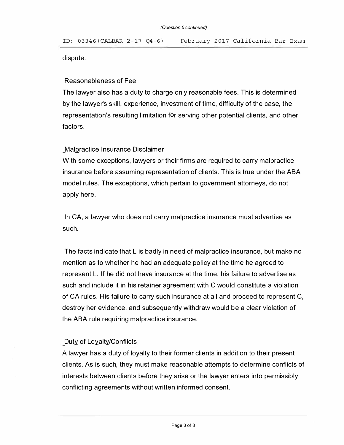## dispute.

## Reasonableness of Fee

The lawyer also has a duty to charge only reasonable fees. This is determined by the lawyer's skill, experience, investment of time, difficulty of the case, the representation's resulting limitation for serving other potential clients, and other factors.

#### Malpractice Insurance Disclaimer

With some exceptions, lawyers or their firms are required to carry malpractice insurance before assuming representation of clients. This is true under the ABA model rules. The exceptions, which pertain to government attorneys, do not apply here.

In CA, a lawyer who does not carry malpractice insurance must advertise as such.

The facts indicate that L is badly in need of malpractice insurance, but make no mention as to whether he had an adequate policy at the time he agreed to represent L. If he did not have insurance at the time, his failure to advertise as such and include it in his retainer agreement with C would constitute a violation of CA rules. His failure to carry such insurance at all and proceed to represent  $C$ , destroy her evidence, and subsequently withdraw would be a clear violation of the ABA rule requiring malpractice insurance.

# Duty of Loyalty/Conflicts

A lawyer has a duty of loyalty to their former clients in addition to their present clients. As is such, they must make reasonable attempts to determine conflicts of interests between clients before they arise or the lawyer enters into permissibly conflicting agreements without written informed consent.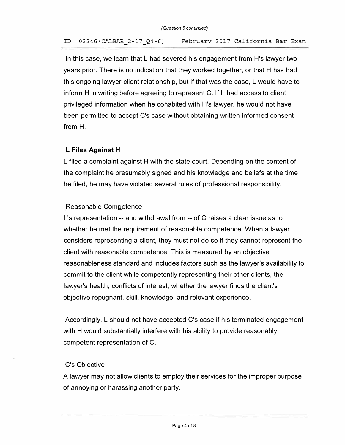ID: 03346(CALBAR\_2-17\_Q4 -6) February 20 17 California Bar Exam

In this case, we learn that L had severed his engagement from H's lawyer two years prior. There is no indication that they worked together, or that H has had this ongoing lawyer-client relationship, but if that was the case, L would have to inform H in writing before agreeing to represent C. If L had access to client privileged information when he cohabited with H's lawyer, he would not have been permitted to accept C's case without obtaining written informed consent from H.

# **L Files Against H**

L filed a complaint against H with the state court. Depending on the content of the complaint he presumably signed and his knowledge and beliefs at the time he filed, he may have violated several rules of professional responsibility.

# Reasonable Competence

L's representation -- and withdrawal from -- of C raises a clear issue as to whether he met the requirement of reasonable competence. When a lawyer considers representing a client, they must not do so if they cannot represent the client with reasonable competence. This is measured by an objective reasonableness standard and includes factors such as the lawyer's availability to commit to the client while competently representing their other clients, the lawyer's health, conflicts of interest, whether the lawyer finds the client's objective repugnant, skill, knowledge, and relevant experience.

Accordingly, L should not have accepted C's case if his terminated engagement with H would substantially interfere with his ability to provide reasonably competent representation of C.

# C's Objective

A lawyer may not allow clients to employ their services for the improper purpose of annoying or harassing another party.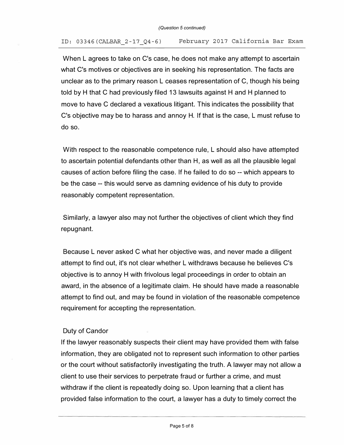## ID: 03346(CALBAR\_2-17\_Q4-6) February 2017 California Bar Exam

When L agrees to take on C's case, he does not make any attempt to ascertain what C's motives or objectives are in seeking his representation. The facts are unclear as to the primary reason L ceases representation of C, though his being told by H that C had previously filed 13 lawsuits against H and H planned to move to have C declared a vexatious litigant. This indicates the possibility that C's objective may be to harass and annoy H. If that is the case, L must refuse to do so.

With respect to the reasonable competence rule, L should also have attempted to ascertain potential defendants other than H, as well as all the plausible legal causes of action before filing the case. If he failed to do so -- which appears to be the case -- this would serve as damning evidence of his duty to provide reasonably competent representation.

Similarly, a lawyer also may not further the objectives of client which they find repugnant.

Because L never asked C what her objective was, and never made a diligent attempt to find out, it's not clear whether L withdraws because he believes C's objective is to annoy H with frivolous legal proceedings in order to obtain an award, in the absence of a legitimate claim. He should have made a reasonable attempt to find out, and may be found in violation of the reasonable competence requirement for accepting the representation.

# Duty of Candor

If the lawyer reasonably suspects their client may have provided them with false information, they are obligated not to represent such information to other parties or the court without satisfactorily investigating the truth. A lawyer may not allow a client to use their services to perpetrate fraud or further a crime, and must withdraw if the client is repeatedly doing so. Upon learning that a client has provided false information to the court, a lawyer has a duty to timely correct the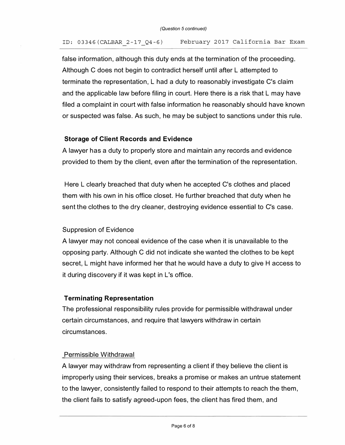#### ID: 03346(CALBAR 2-17\_Q4-6) February 2017 California Bar Exam

false information, although this duty ends at the termination of the proceeding. Although C does not begin to contradict herself until after L attempted to terminate the representation, L had a duty to reasonably investigate C's claim and the applicable law before filing in court. Here there is a risk that L may have filed a complaint in court with false information he reasonably should have known or suspected was false. As such, he may be subject to sanctions under this rule.

# **Storage of Client Records and Evidence**

A lawyer has a duty to properly store and maintain any records and evidence provided to them by the client, even after the termination of the representation.

Here L clearly breached that duty when he accepted C's clothes and placed them with his own in his office closet. He further breached that duty when he sent the clothes to the dry cleaner, destroying evidence essential to C's case.

# Suppresion of Evidence

A lawyer may not conceal evidence of the case when it is unavailable to the opposing party. Although C did not indicate she wanted the clothes to be kept secret, L might have informed her that he would have a duty to give H access to it during discovery if it was kept in L's office.

# **Terminating Representation**

The professional responsibility rules provide for permissible withdrawal under certain circumstances, and require that lawyers withdraw in certain circumstances.

# Permissible Withdrawal

A lawyer may withdraw from representing a client if they believe the client is improperly using their services, breaks a promise or makes an untrue statement to the lawyer, consistently failed to respond to their attempts to reach the them, the client fails to satisfy agreed-upon fees, the client has fired them, and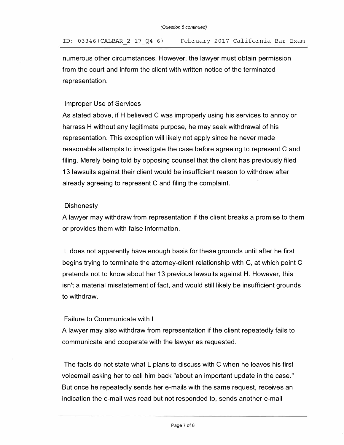numerous other circumstances. However, the lawyer must obtain permission from the court and inform the client with written notice of the terminated representation.

# Improper Use of Services

As stated above, if H believed C was improperly using his services to annoy or harrass H without any legitimate purpose, he may seek withdrawal of his representation. This exception will likely not apply since he never made reasonable attempts to investigate the case before agreeing to represent C and filing. Merely being told by opposing counsel that the client has previously filed 13 lawsuits against their client would be insufficient reason to withdraw after already agreeing to represent C and filing the complaint.

# **Dishonesty**

A lawyer may withdraw from representation if the client breaks a promise to them or provides them with false information.

L does not apparently have enough basis for these grounds until after he first begins trying to terminate the attorney-client relationship with C, at which point C pretends not to know about her 13 previous lawsuits against H. However, this isn't a material misstatement of fact, and would still likely be insufficient grounds to withdraw.

# Failure to Communicate with L

A lawyer may also withdraw from representation if the client repeatedly fails to communicate and cooperate with the lawyer as requested.

The facts do not state what L plans to discuss with C when he leaves his first voicemail asking her to call him back "about an important update in the case." But once he repeatedly sends her e-mails with the same request, receives an indication the e-mail was read but not responded to, sends another e-mail